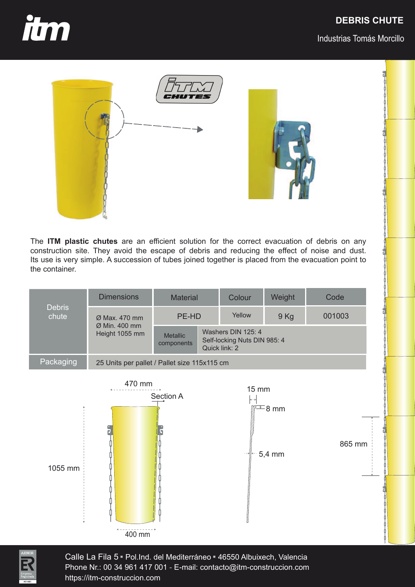## **DEBRIS CHUTE**



Industrias Tomás Morcillo





The **ITM plastic chutes** are an efficient solution for the correct evacuation of debris on any construction site. They avoid the escape of debris and reducing the effect of noise and dust. Its use is very simple. A succession of tubes joined together is placed from the evacuation point to the container.

| <b>Debris</b><br>chute | <b>Dimensions</b>                                                        | Material                      |                                                                     | Colour | Weight | Code   |  |  |
|------------------------|--------------------------------------------------------------------------|-------------------------------|---------------------------------------------------------------------|--------|--------|--------|--|--|
|                        | $\varnothing$ Max, 470 mm<br>$\varnothing$ Min. 400 mm<br>Height 1055 mm | PE-HD                         |                                                                     | Yellow | $9$ Kg | 001003 |  |  |
|                        |                                                                          | <b>Metallic</b><br>components | Washers DIN 125: 4<br>Self-locking Nuts DIN 985: 4<br>Quick link: 2 |        |        |        |  |  |
| Packaging              | 25 Units per pallet / Pallet size 115x115 cm                             |                               |                                                                     |        |        |        |  |  |





Calle La Fila 5 <del>-</del> Pol.Ind. del Mediterráneo <del>-</del> 46550 Albuixech, Valencia<br>Phone Nr : 00 34 961 417 001 - F-mail: contacto@itm-construccion com Phone Nr.: 00 34 961 417 001 - E-mail: contacto@itm-construccion.com https://itm-construccion.com